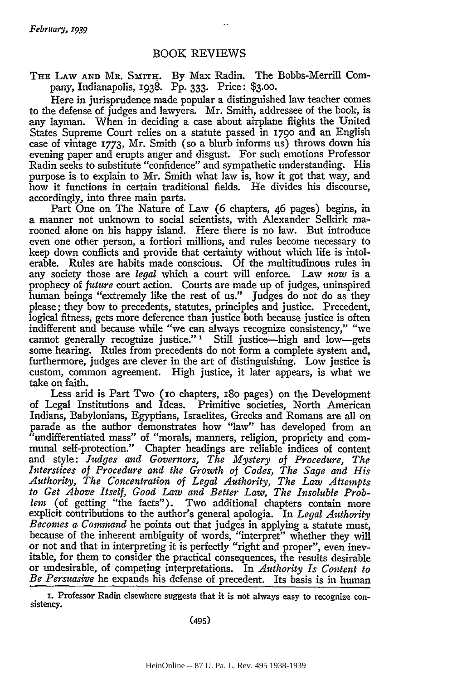## BOOK REVIEWS

**THE** LAW **AND** MR. SmITH. By Max Radin. The Bobbs-Merrill Company, Indianapolis, 1938. Pp. **333.** Price: \$3.oo.

Here in jurisprudence made popular a distinguished law teacher comes to the defense of judges and lawyers. Mr. Smith, addressee of the book, is any layman. When in deciding a case about airplane flights the United States Supreme Court relies on a statute passed in **1790** and an English case of vintage 1773, Mr. Smith (so a blurb informs us) throws down his evening paper and erupts anger and disgust. For such emotions Professor Radin seeks to substitute "confidence" and sympathetic understanding. His purpose is to explain to Mr. Smith what law is, how it got that way, and how it functions in certain traditional fields. He divides his discourse, accordingly, into three main parts.

Part One on The Nature of Law (6 chapters, 46 pages) begins, in a manner not unknown to social scientists, with Alexander Selkirk marooned alone on his happy island. Here there is no law. But introduce even one other person, a fortiori millions, and rules become necessary to keep down conflicts and provide that certainty without which life is intolerable. Rules are habits made conscious. Of the multitudinous rules in any society those are *legal* which a court will enforce. Law *now* is a prophecy of *future* court action. Courts are made up of judges, uninspired human beings "extremely like the rest of us." Judges do not do as they please; they bow to precedents, statutes, principles and justice. Precedent, logical fitness, gets more deference than justice both because justice is often indifferent and because while "we can always recognize consistency," "we cannot generally recognize justice." **'1** Still justice-high and low-gets some hearing. Rules from precedents do not form a complete system and, furthermore, judges are clever in the art of distinguishing. Low justice is custom, common agreement. High justice, it later appears, is what we take on faith.

Less arid is Part Two (io chapters, 18o pages) on the Development of Legal Institutions and Ideas. Primitive societies, North American Indians, Babylonians, Egyptians, Israelites, Greeks and Romans are all on parade as the author demonstrates how "law" has developed from an "undifferentiated mass" of "morals, manners, religion, propriety and communal self-protection." Chapter headings are reliable indices of content and style: *Judges and Governors, The Mystery of Procedure, The Interstices of Procedure and the Growth of Codes, The Sage and His Authority, The Concentration of Legal Authority, The Law Attempts to Get Above Itself, Good Law and Better Law, The Insoluble Problem* (of getting "the facts"). Two additional chapters contain more explicit contributions to the author's general apologia. In *Legal Authority Becomes a Command* he points out that judges in applying a statute must, because of the inherent ambiguity of words, "interpret" whether they will or not and that in interpreting it is perfectly "right and proper", even inevitable, for them to consider the practical consequences, the results desirable or undesirable, of competing interpretations. In *Authority Is Content to Be Persuasive* he expands his defense of precedent. Its basis is in human

i. Professor Radin elsewhere suggests that it is not always easy to recognize con- sistency.

(495)